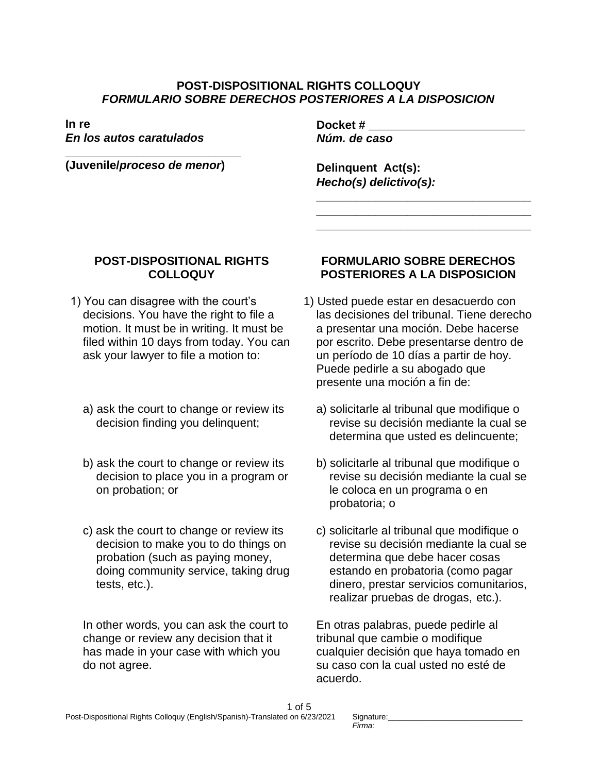## **POST-DISPOSITIONAL RIGHTS COLLOQUY** *FORMULARIO SOBRE DERECHOS POSTERIORES A LA DISPOSICION*

**In re**  *En los autos caratulados*

**\_\_\_\_\_\_\_\_\_\_\_\_\_\_\_\_\_\_\_\_\_\_\_\_\_\_\_ (Juvenile/***proceso de menor***)**

**Docket # \_\_\_\_\_\_\_\_\_\_\_\_\_\_\_\_\_\_\_\_\_\_\_\_** *Núm. de caso*

**Delinquent Act(s):**  *Hecho(s) delictivo(s):*

## **POST-DISPOSITIONAL RIGHTS COLLOQUY**

- 1) You can disagree with the court's decisions. You have the right to file a motion. It must be in writing. It must be filed within 10 days from today. You can ask your lawyer to file a motion to:
	- a) ask the court to change or review its decision finding you delinquent;
	- b) ask the court to change or review its decision to place you in a program or on probation; or
	- c) ask the court to change or review its decision to make you to do things on probation (such as paying money, doing community service, taking drug tests, etc.).

In other words, you can ask the court to change or review any decision that it has made in your case with which you do not agree.

## **FORMULARIO SOBRE DERECHOS POSTERIORES A LA DISPOSICION**

**\_\_\_\_\_\_\_\_\_\_\_\_\_\_\_\_\_\_\_\_\_\_\_\_\_\_\_\_\_\_\_\_\_ \_\_\_\_\_\_\_\_\_\_\_\_\_\_\_\_\_\_\_\_\_\_\_\_\_\_\_\_\_\_\_\_\_ \_\_\_\_\_\_\_\_\_\_\_\_\_\_\_\_\_\_\_\_\_\_\_\_\_\_\_\_\_\_\_\_\_**

- 1) Usted puede estar en desacuerdo con las decisiones del tribunal. Tiene derecho a presentar una moción. Debe hacerse por escrito. Debe presentarse dentro de un período de 10 días a partir de hoy. Puede pedirle a su abogado que presente una moción a fin de:
	- a) solicitarle al tribunal que modifique o revise su decisión mediante la cual se determina que usted es delincuente;
	- b) solicitarle al tribunal que modifique o revise su decisión mediante la cual se le coloca en un programa o en probatoria; o
	- c) solicitarle al tribunal que modifique o revise su decisión mediante la cual se determina que debe hacer cosas estando en probatoria (como pagar dinero, prestar servicios comunitarios, realizar pruebas de drogas, etc.).

En otras palabras, puede pedirle al tribunal que cambie o modifique cualquier decisión que haya tomado en su caso con la cual usted no esté de acuerdo.

Signature: *Firma:*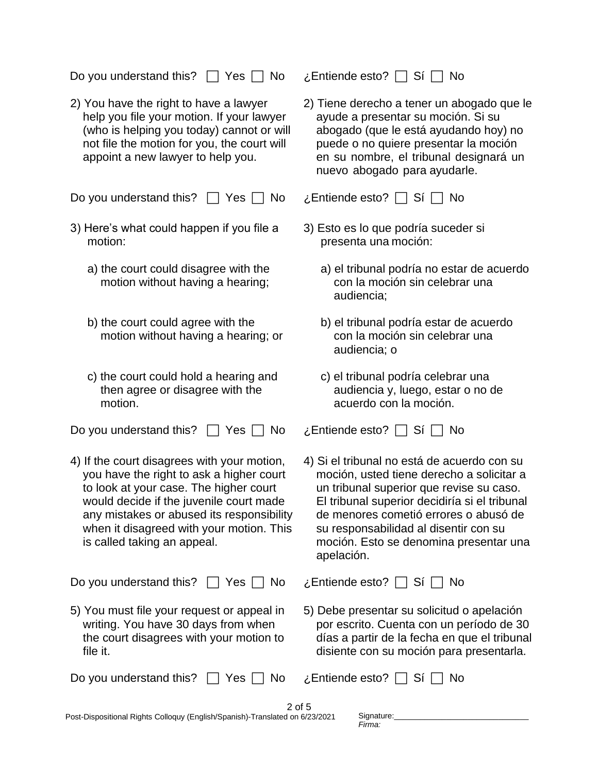Do you understand this?  $\Box$  Yes  $\Box$  No  $\Box$  Entiende esto?  $\Box$  Sí  $\Box$  No

2) You have the right to have a lawyer help you file your motion. If your lawyer (who is helping you today) cannot or will not file the motion for you, the court will appoint a new lawyer to help you.

Do you understand this?  $\Box$  Yes  $\Box$  No  $\Box$  Entiende esto?  $\Box$  Si  $\Box$  No

- 3) Here's what could happen if you file a motion:
	- a) the court could disagree with the motion without having a hearing;
	- b) the court could agree with the motion without having a hearing; or
	- c) the court could hold a hearing and then agree or disagree with the motion.

Do you understand this?  $\Box$  Yes  $\Box$  No  $\Box$  Entiende esto?  $\Box$  Si  $\Box$  No

4) If the court disagrees with your motion, you have the right to ask a higher court to look at your case. The higher court would decide if the juvenile court made any mistakes or abused its responsibility when it disagreed with your motion. This is called taking an appeal.

Do you understand this?  $\Box$  Yes  $\Box$  No  $\Box$  Entiende esto?  $\Box$  Si  $\Box$  No

5) You must file your request or appeal in writing. You have 30 days from when the court disagrees with your motion to file it.

| Do you understand this? $\Box$ Yes $\Box$ N |  |  |
|---------------------------------------------|--|--|
|---------------------------------------------|--|--|

2) Tiene derecho a tener un abogado que le ayude a presentar su moción. Si su abogado (que le está ayudando hoy) no puede o no quiere presentar la moción en su nombre, el tribunal designará un nuevo abogado para ayudarle.

- 3) Esto es lo que podría suceder si presenta una moción:
	- a) el tribunal podría no estar de acuerdo con la moción sin celebrar una audiencia;
	- b) el tribunal podría estar de acuerdo con la moción sin celebrar una audiencia; o
	- c) el tribunal podría celebrar una audiencia y, luego, estar o no de acuerdo con la moción.

4) Si el tribunal no está de acuerdo con su moción, usted tiene derecho a solicitar a un tribunal superior que revise su caso. El tribunal superior decidiría si el tribunal de menores cometió errores o abusó de su responsabilidad al disentir con su moción. Esto se denomina presentar una apelación.

5) Debe presentar su solicitud o apelación por escrito. Cuenta con un período de 30 días a partir de la fecha en que el tribunal disiente con su moción para presentarla.

No z,Entiende esto? □ Sí □ No

Signature: *Firma:*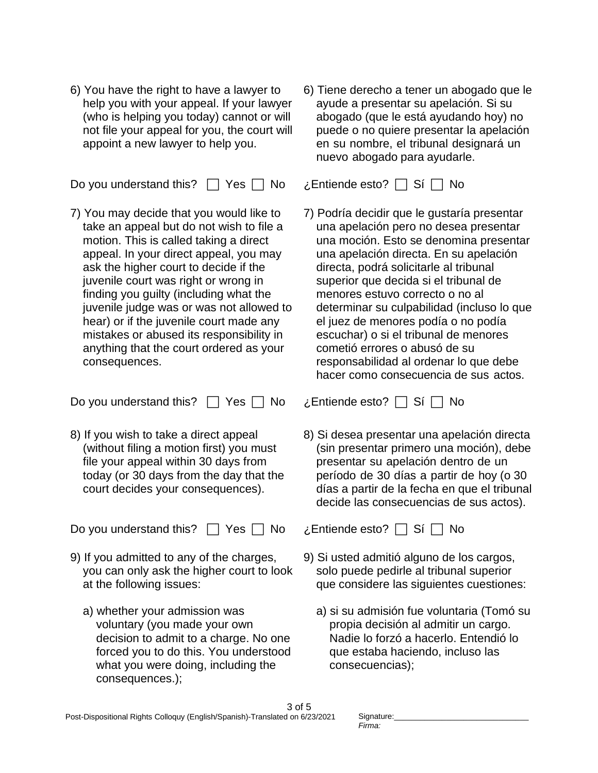6) You have the right to have a lawyer to help you with your appeal. If your lawyer (who is helping you today) cannot or will not file your appeal for you, the court will appoint a new lawyer to help you.

Do you understand this?  $\Box$  Yes  $\Box$  No  $\Box$  Entiende esto?  $\Box$  Si  $\Box$  No

7) You may decide that you would like to take an appeal but do not wish to file a motion. This is called taking a direct appeal. In your direct appeal, you may ask the higher court to decide if the juvenile court was right or wrong in finding you guilty (including what the juvenile judge was or was not allowed to hear) or if the juvenile court made any mistakes or abused its responsibility in anything that the court ordered as your consequences.

Do you understand this?  $\Box$  Yes  $\Box$  No  $\Box$  Entiende esto?  $\Box$  Si  $\Box$  No

8) If you wish to take a direct appeal (without filing a motion first) you must file your appeal within 30 days from today (or 30 days from the day that the court decides your consequences).

Do you understand this?  $\Box$  Yes  $\Box$  No  $\Box$  Entiende esto?  $\Box$  Si  $\Box$  No

- 9) If you admitted to any of the charges, you can only ask the higher court to look at the following issues:
	- a) whether your admission was voluntary (you made your own decision to admit to a charge. No one forced you to do this. You understood what you were doing, including the consequences.);

6) Tiene derecho a tener un abogado que le ayude a presentar su apelación. Si su abogado (que le está ayudando hoy) no puede o no quiere presentar la apelación en su nombre, el tribunal designará un nuevo abogado para ayudarle.

7) Podría decidir que le gustaría presentar una apelación pero no desea presentar una moción. Esto se denomina presentar una apelación directa. En su apelación directa, podrá solicitarle al tribunal superior que decida si el tribunal de menores estuvo correcto o no al determinar su culpabilidad (incluso lo que el juez de menores podía o no podía escuchar) o si el tribunal de menores cometió errores o abusó de su responsabilidad al ordenar lo que debe hacer como consecuencia de sus actos.

8) Si desea presentar una apelación directa (sin presentar primero una moción), debe presentar su apelación dentro de un período de 30 días a partir de hoy (o 30 días a partir de la fecha en que el tribunal decide las consecuencias de sus actos).

- 9) Si usted admitió alguno de los cargos, solo puede pedirle al tribunal superior que considere las siguientes cuestiones:
	- a) si su admisión fue voluntaria (Tomó su propia decisión al admitir un cargo. Nadie lo forzó a hacerlo. Entendió lo que estaba haciendo, incluso las consecuencias);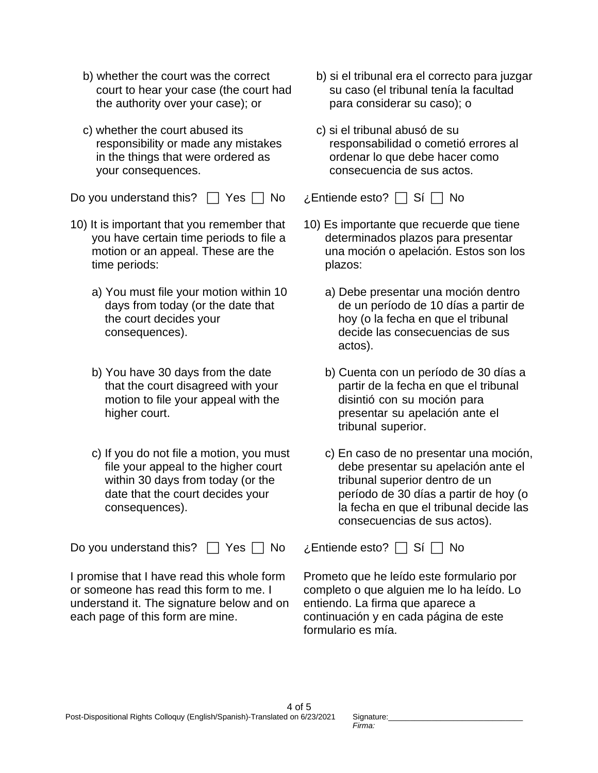- b) whether the court was the correct court to hear your case (the court had the authority over your case); or
- c) whether the court abused its responsibility or made any mistakes in the things that were ordered as your consequences.

Do you understand this?  $\Box$  Yes  $\Box$  No  $\Box$  Entiende esto?  $\Box$  Sí  $\Box$  No

- 10) It is important that you remember that you have certain time periods to file a motion or an appeal. These are the time periods:
	- a) You must file your motion within 10 days from today (or the date that the court decides your consequences).
	- b) You have 30 days from the date that the court disagreed with your motion to file your appeal with the higher court.
	- c) If you do not file a motion, you must file your appeal to the higher court within 30 days from today (or the date that the court decides your consequences).

Do you understand this?  $\Box$  Yes  $\Box$  No  $\Box$  Entiende esto?  $\Box$  Si  $\Box$  No

I promise that I have read this whole form or someone has read this form to me. I understand it. The signature below and on each page of this form are mine. I understand on the signature below and on each pagina de este

- b) si el tribunal era el correcto para juzgar su caso (el tribunal tenía la facultad para considerar su caso); o
- c) si el tribunal abusó de su responsabilidad o cometió errores al ordenar lo que debe hacer como consecuencia de sus actos.

- 10) Es importante que recuerde que tiene determinados plazos para presentar una moción o apelación. Estos son los plazos:
	- a) Debe presentar una moción dentro de un período de 10 días a partir de hoy (o la fecha en que el tribunal decide las consecuencias de sus actos).
	- b) Cuenta con un período de 30 días a partir de la fecha en que el tribunal disintió con su moción para presentar su apelación ante el tribunal superior.
	- c) En caso de no presentar una moción, debe presentar su apelación ante el tribunal superior dentro de un período de 30 días a partir de hoy (o la fecha en que el tribunal decide las consecuencias de sus actos).

Prometo que he leído este formulario por completo o que alguien me lo ha leído. Lo entiendo. La firma que aparece a formulario es mía.

Signature: *Firma:*